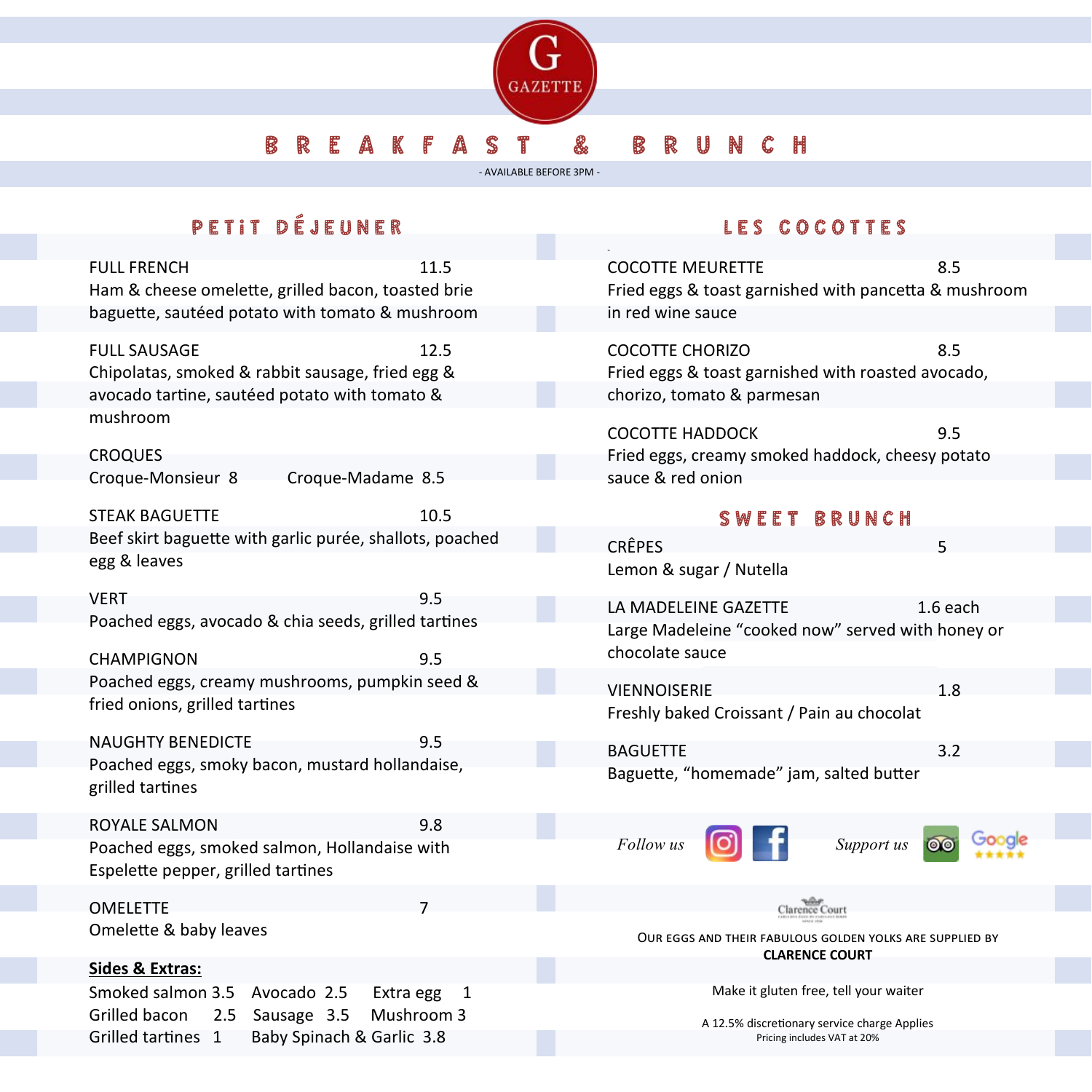

## B R E A K F A S T & B R U N C H

- AVAILABLE BEFORE 3PM -

# PETIT DÉJEUNER

FULL FRENCH 11.5 Ham & cheese omelette, grilled bacon, toasted brie baguette, sautéed potato with tomato & mushroom

FULL SAUSAGE 12.5 Chipolatas, smoked & rabbit sausage, fried egg & avocado tartine, sautéed potato with tomato & mushroom

**CROQUES** Croque-Monsieur 8 Croque-Madame 8.5

STEAK BAGUETTE 10.5 Beef skirt baguette with garlic purée, shallots, poached egg & leaves

VERT 9.5 Poached eggs, avocado & chia seeds, grilled tartines

CHAMPIGNON 9.5 Poached eggs, creamy mushrooms, pumpkin seed & fried onions, grilled tartines

NAUGHTY BENEDICTE 95 Poached eggs, smoky bacon, mustard hollandaise, grilled tartines

ROYALE SALMON 9.8 Poached eggs, smoked salmon, Hollandaise with Espelette pepper, grilled tartines

OMELETTE 7

Omelette & baby leaves

#### **Sides & Extras:**

Smoked salmon 3.5 Avocado 2.5 Extra egg 1 Grilled bacon 2.5 Sausage 3.5 Mushroom 3 Grilled tartines 1 Baby Spinach & Garlic 3.8

### LES COCOTTES

| <b>COCOTTE MEURETTE</b><br>Fried eggs & toast garnished with pancetta & mushroom                           | 8.5     |  |  |
|------------------------------------------------------------------------------------------------------------|---------|--|--|
| in red wine sauce                                                                                          |         |  |  |
| <b>COCOTTE CHORIZO</b><br>Fried eggs & toast garnished with roasted avocado,<br>chorizo, tomato & parmesan | 8.5     |  |  |
| <b>COCOTTE HADDOCK</b><br>Fried eggs, creamy smoked haddock, cheesy potato<br>sauce & red onion            | 9.5     |  |  |
| <b>SWEET BRUNCH</b>                                                                                        |         |  |  |
| <b>CRÊPES</b><br>Lemon & sugar / Nutella                                                                   | 5       |  |  |
| LA MADELEINE GAZETTE<br>1.6 each<br>Large Madeleine "cooked now" served with honey or<br>chocolate sauce   |         |  |  |
| VIENNOISERIE<br>Freshly baked Croissant / Pain au chocolat                                                 | 1.8     |  |  |
| <b>BAGUETTE</b>                                                                                            | 3.2     |  |  |
| Baguette, "homemade" jam, salted butter                                                                    |         |  |  |
| $\begin{bmatrix} 0 \end{bmatrix}$ f<br><i>Follow us</i><br>Support us                                      | $\circ$ |  |  |
| Clarence Court                                                                                             |         |  |  |
| OUR EGGS AND THEIR FABULOUS GOLDEN YOLKS ARE SUPPLIED BY<br><b>CLARENCE COURT</b>                          |         |  |  |
| Make it gluten free, tell your waiter                                                                      |         |  |  |
| A 12.5% discretionary service charge Applies                                                               |         |  |  |
| Pricing includes VAT at 20%                                                                                |         |  |  |